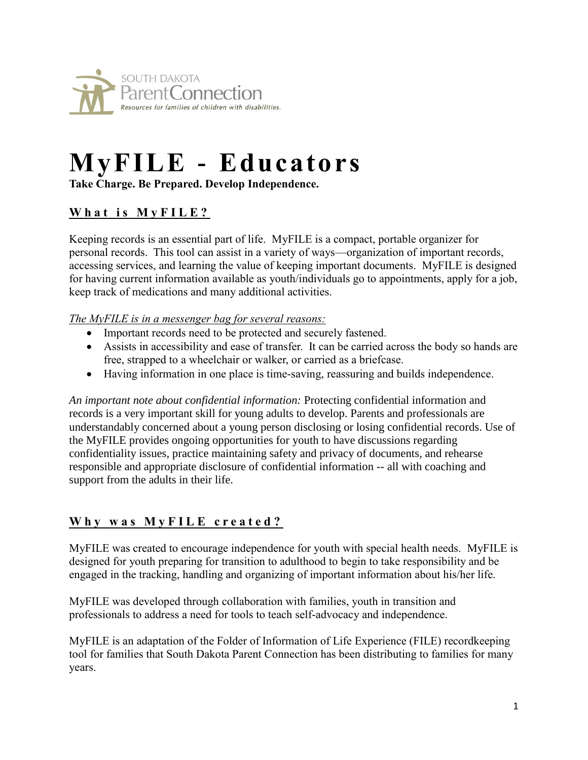

# **MyFILE - Educators**

**Take Charge. Be Prepared. Develop Independence.**

# **What is MyFILE?**

Keeping records is an essential part of life. MyFILE is a compact, portable organizer for personal records. This tool can assist in a variety of ways—organization of important records, accessing services, and learning the value of keeping important documents. MyFILE is designed for having current information available as youth/individuals go to appointments, apply for a job, keep track of medications and many additional activities.

#### *The MyFILE is in a messenger bag for several reasons:*

- Important records need to be protected and securely fastened.
- Assists in accessibility and ease of transfer. It can be carried across the body so hands are free, strapped to a wheelchair or walker, or carried as a briefcase.
- Having information in one place is time-saving, reassuring and builds independence.

*An important note about confidential information:* Protecting confidential information and records is a very important skill for young adults to develop. Parents and professionals are understandably concerned about a young person disclosing or losing confidential records. Use of the MyFILE provides ongoing opportunities for youth to have discussions regarding confidentiality issues, practice maintaining safety and privacy of documents, and rehearse responsible and appropriate disclosure of confidential information -- all with coaching and support from the adults in their life.

# **W h y w a s M y F I L E c r e a t e d ?**

MyFILE was created to encourage independence for youth with special health needs. MyFILE is designed for youth preparing for transition to adulthood to begin to take responsibility and be engaged in the tracking, handling and organizing of important information about his/her life.

MyFILE was developed through collaboration with families, youth in transition and professionals to address a need for tools to teach self-advocacy and independence.

MyFILE is an adaptation of the Folder of Information of Life Experience (FILE) recordkeeping tool for families that South Dakota Parent Connection has been distributing to families for many years.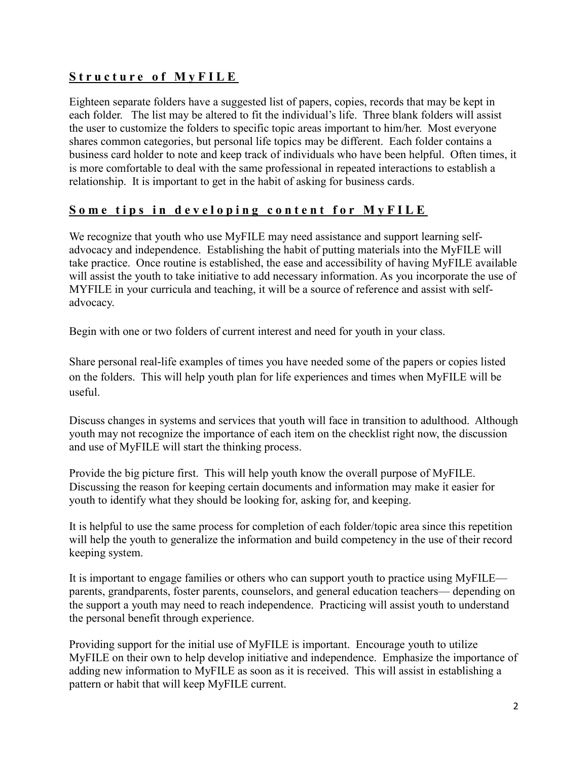# **Structure of MyFILE**

Eighteen separate folders have a suggested list of papers, copies, records that may be kept in each folder. The list may be altered to fit the individual's life. Three blank folders will assist the user to customize the folders to specific topic areas important to him/her. Most everyone shares common categories, but personal life topics may be different. Each folder contains a business card holder to note and keep track of individuals who have been helpful. Often times, it is more comfortable to deal with the same professional in repeated interactions to establish a relationship. It is important to get in the habit of asking for business cards.

# **Some tips in developing content for MyFILE**

We recognize that youth who use MyFILE may need assistance and support learning selfadvocacy and independence. Establishing the habit of putting materials into the MyFILE will take practice. Once routine is established, the ease and accessibility of having MyFILE available will assist the youth to take initiative to add necessary information. As you incorporate the use of MYFILE in your curricula and teaching, it will be a source of reference and assist with selfadvocacy.

Begin with one or two folders of current interest and need for youth in your class.

Share personal real-life examples of times you have needed some of the papers or copies listed on the folders. This will help youth plan for life experiences and times when MyFILE will be useful.

Discuss changes in systems and services that youth will face in transition to adulthood. Although youth may not recognize the importance of each item on the checklist right now, the discussion and use of MyFILE will start the thinking process.

Provide the big picture first. This will help youth know the overall purpose of MyFILE. Discussing the reason for keeping certain documents and information may make it easier for youth to identify what they should be looking for, asking for, and keeping.

It is helpful to use the same process for completion of each folder/topic area since this repetition will help the youth to generalize the information and build competency in the use of their record keeping system.

It is important to engage families or others who can support youth to practice using MyFILE parents, grandparents, foster parents, counselors, and general education teachers— depending on the support a youth may need to reach independence. Practicing will assist youth to understand the personal benefit through experience.

Providing support for the initial use of MyFILE is important. Encourage youth to utilize MyFILE on their own to help develop initiative and independence. Emphasize the importance of adding new information to MyFILE as soon as it is received. This will assist in establishing a pattern or habit that will keep MyFILE current.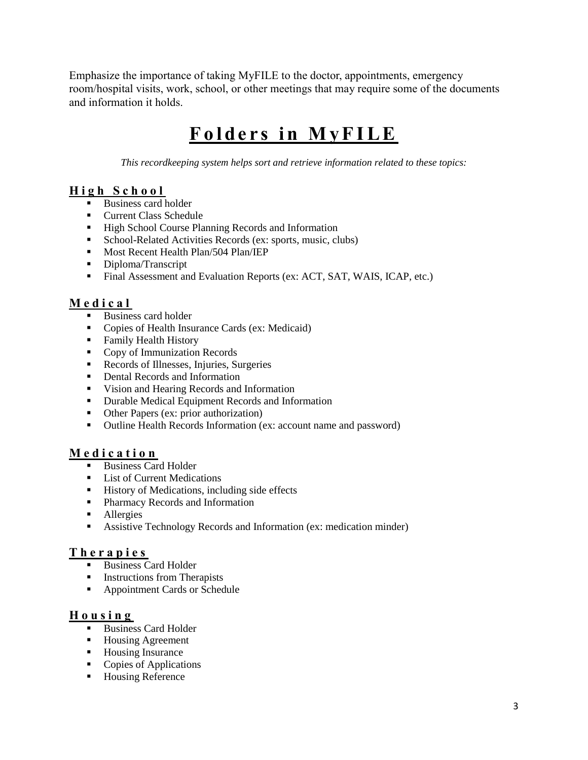Emphasize the importance of taking MyFILE to the doctor, appointments, emergency room/hospital visits, work, school, or other meetings that may require some of the documents and information it holds.

# **Folders in MyFILE**

*This recordkeeping system helps sort and retrieve information related to these topics:*

# **High School**

- Business card holder
- Current Class Schedule
- High School Course Planning Records and Information
- School-Related Activities Records (ex: sports, music, clubs)
- **■** Most Recent Health Plan/504 Plan/IEP
- **•** Diploma/Transcript
- **Final Assessment and Evaluation Reports (ex: ACT, SAT, WAIS, ICAP, etc.)**

# **M e d i c a l**

- Business card holder
- Copies of Health Insurance Cards (ex: Medicaid)
- Family Health History
- Copy of Immunization Records
- **EXECORD** Records of Illnesses, Injuries, Surgeries
- Dental Records and Information
- Vision and Hearing Records and Information
- Durable Medical Equipment Records and Information
- Other Papers (ex: prior authorization)
- Outline Health Records Information (ex: account name and password)

# **M e d i c a t i o n**

- Business Card Holder
- List of Current Medications
- History of Medications, including side effects
- Pharmacy Records and Information
- Allergies
- Assistive Technology Records and Information (ex: medication minder)

#### **T h e r a p i e s**

- Business Card Holder
- Instructions from Therapists
- Appointment Cards or Schedule

#### **Housing**

- Business Card Holder
- Housing Agreement
- Housing Insurance
- Copies of Applications
- Housing Reference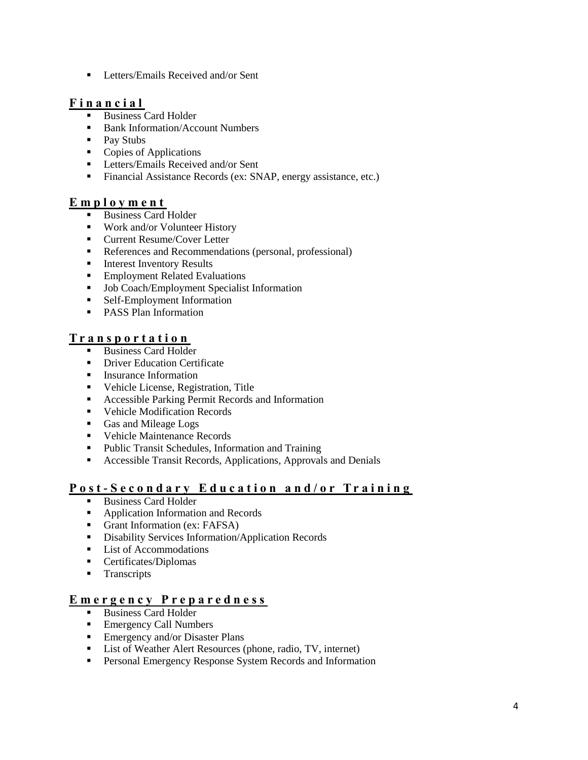**•** Letters/Emails Received and/or Sent

#### **Financial**

- Business Card Holder
- Bank Information/Account Numbers
- Pay Stubs
- Copies of Applications
- **EXECUTE:** Letters/Emails Received and/or Sent
- Financial Assistance Records (ex: SNAP, energy assistance, etc.)

#### **E m p l o y m e n t**

- Business Card Holder
- Work and/or Volunteer History
- Current Resume/Cover Letter
- References and Recommendations (personal, professional)
- **■** Interest Inventory Results
- **Employment Related Evaluations**
- Job Coach/Employment Specialist Information
- Self-Employment Information
- PASS Plan Information

#### **T r a n s p o r t a t i o n**

- **Business Card Holder**
- **Driver Education Certificate**
- Insurance Information
- Vehicle License, Registration, Title
- Accessible Parking Permit Records and Information
- Vehicle Modification Records
- Gas and Mileage Logs
- Vehicle Maintenance Records
- Public Transit Schedules, Information and Training
- Accessible Transit Records, Applications, Approvals and Denials

#### **Post - S e c o n d a r y E d u c a t i o n a n d / o r T r a i n i n g**

- Business Card Holder
- Application Information and Records
- Grant Information (ex: FAFSA)
- **•** Disability Services Information/Application Records
- List of Accommodations
- Certificates/Diplomas
- **Transcripts**

#### **E m e r g e n c y P r e p a r e d n e s s**

- **Business Card Holder**
- Emergency Call Numbers
- **Emergency and/or Disaster Plans**
- List of Weather Alert Resources (phone, radio, TV, internet)
- **•** Personal Emergency Response System Records and Information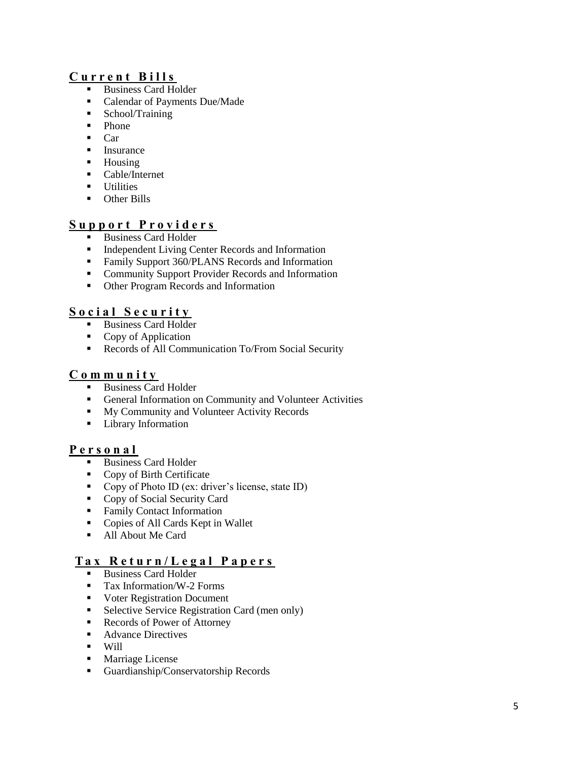#### **C u r r e n t B i l l s**

- Business Card Holder
- Calendar of Payments Due/Made
- School/Training
- Phone
- Car
- Insurance
- Housing
- Cable/Internet
- **■** Utilities
- Other Bills

#### **S u p p o r t P r o v i d e r s**

- Business Card Holder
- **■** Independent Living Center Records and Information
- Family Support 360/PLANS Records and Information
- **Community Support Provider Records and Information**
- Other Program Records and Information

#### **S o c i a l S e c u r i t y**

- Business Card Holder
- Copy of Application
- Records of All Communication To/From Social Security

#### **C o m m u n i t y**

- **Business Card Holder**
- General Information on Community and Volunteer Activities
- My Community and Volunteer Activity Records
- Library Information

#### **Personal**

- Business Card Holder
- Copy of Birth Certificate
- Copy of Photo ID (ex: driver's license, state ID)
- Copy of Social Security Card
- Family Contact Information
- Copies of All Cards Kept in Wallet
- All About Me Card

#### **T a x R e t u r n / L e g a l P a p e r s**

- **Business Card Holder**
- Tax Information/W-2 Forms
- Voter Registration Document
- Selective Service Registration Card (men only)
- Records of Power of Attorney
- Advance Directives
- Will
- Marriage License
- Guardianship/Conservatorship Records